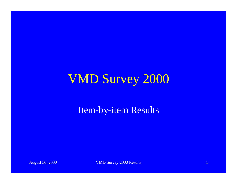### VMD Survey 2000

Item-by-item Results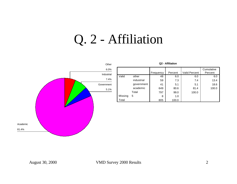### Q. 2 - Affiliation



| Q <sub>2</sub> - Affiliation |            |           |         |                      |                       |
|------------------------------|------------|-----------|---------|----------------------|-----------------------|
|                              |            | Frequency | Percent | <b>Valid Percent</b> | Cumulative<br>Percent |
| Valid                        | other      | 48        | 6.0     | 6.0                  | 6.0                   |
|                              | industrial | 59        | 7.3     | 7.4                  | 13.4                  |
|                              | government | 41        | 5.1     | 5.1                  | 18.6                  |
|                              | academic   | 649       | 80.6    | 81.4                 | 100.0                 |
|                              | Total      | 797       | 99.0    | 100.0                |                       |
| Missing                      | 5          | 8         | 1.0     |                      |                       |
| Total                        |            | 805       | 100.0   |                      |                       |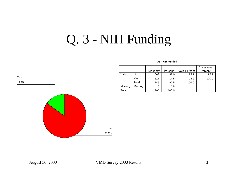## Q. 3 - NIH Funding



### **Q3 - NIH Funded**

|         |         |           |         |                      | Cumulative |
|---------|---------|-----------|---------|----------------------|------------|
|         |         | Frequency | Percent | <b>Valid Percent</b> | Percent    |
| Valid   | No      | 668       | 83.0    | 85.1                 | 85.1       |
|         | Yes     | 117       | 14.5    | 14.9                 | 100.0      |
|         | Total   | 785       | 97.5    | 100.0                |            |
| Missing | Missing | 20        | 2.5     |                      |            |
| Total   |         | 805       | 100.0   |                      |            |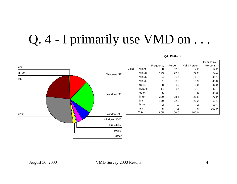### Q. 4 - I primarily use VMD on ...



### **Q4 - Platform**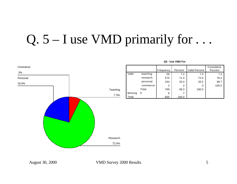# Q.  $5 - I$  use VMD primarily for ...

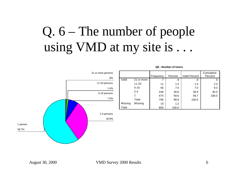# Q. 6 – The number of people using VMD at my site is . . .



|         |            | Frequency | Percent | <b>Valid Percent</b> | Cumulative<br>Percent |
|---------|------------|-----------|---------|----------------------|-----------------------|
| Valid   | 21 or more |           | .9      | .9                   | .9                    |
|         | $11 - 20$  | 11        | 1.4     | 1.4                  | 2.3                   |
|         | $5 - 10$   | 56        | 7.0     | 7.0                  | 9.3                   |
|         | $2 - 4$    | 246       | 30.6    | 30.9                 | 40.3                  |
|         |            | 475       | 59.0    | 59.7                 | 100.0                 |
|         | Total      | 795       | 98.8    | 100.0                |                       |
| Missing | Missing    | 10        | 1.2     |                      |                       |
| Total   |            | 805       | 100.0   |                      |                       |

### **Q6 - Number of Users**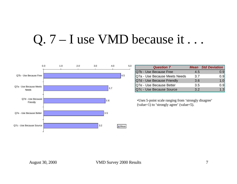## Q. 7 – I use VMD because it...



| <b>Question 7</b>             |     | <b>Mean</b> Std Deviation |
|-------------------------------|-----|---------------------------|
| Q7b - Use Because Free        | 4.5 | 0.9                       |
| Q7a - Use Because Meets Needs | 3.7 | 0.9                       |
| Q7d - Use Because Friendly    | 3.6 | 1.0                       |
| Q7e - Use Because Better      | 3.5 | 0.9                       |
| Q7c - Use Because Source      | 3.2 | 1.3                       |

•Uses 5-point scale ranging from 'strongly disagree' (value=1) to 'strongly agree' (value=5).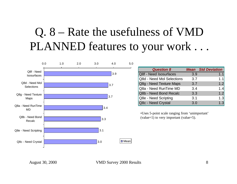### Q. 8 – Rate the usefulness of VMD PLANNED features to your work . . .



| <b>Question 8</b>         |     | <b>Mean</b> Std Deviation |
|---------------------------|-----|---------------------------|
| Q8f - Need Isosurfaces    | 3.9 | 1.1                       |
| Q8d - Need Mol Selections | 3.7 | 1.1                       |
| Q8g - Need Texture Maps   | 3.7 | 1.2                       |
| Q8a - Need RunTime MD     | 3.4 | 1.4                       |
| Q8b - Need Bond Recalc    | 3.3 | 1.2                       |
| Q8e - Need Scripting      | 3.1 | 1.3                       |
| Q8c - Need Crystal        | 3.0 | 1 3                       |
|                           |     |                           |

•Uses 5-point scale ranging from 'unimportant' (value=1) to very important (value=5).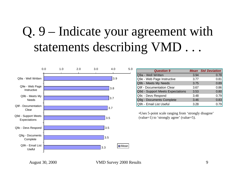# Q. 9 – Indicate your agreement with statements describing VMD.



| <b>Question 9</b>                |      | <b>Mean</b> Std Deviation |
|----------------------------------|------|---------------------------|
| Q9a - Well Written               | 3.94 | 0.78                      |
| Q9e - Web Page Instructive       | 3.77 | 0.81                      |
| Q9b - Meets My Needs             | 3.75 | 0.89                      |
| Q9f - Documentation Clear        | 3.67 | 0.86                      |
| Q9d - Support Meets Expectations | 3.53 | 0.80                      |
| Q9c - Devs Respond               | 3.48 | 0.79                      |
| Q9g - Documents Complete         | 3.46 | 0.83                      |
| Q9h - Email List Useful          | 3.28 |                           |

•Uses 5-point scale ranging from 'strongly disagree' (value=1) to 'strongly agree' (value=5).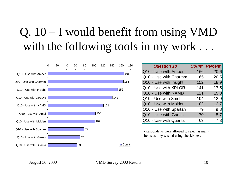### Q. 10 – I would benefit from using VMD with the following tools in my work ...



| <b>Question 10</b>     |     | <b>Count Percent</b> |
|------------------------|-----|----------------------|
| Q10 - Use with Amber   | 166 | 20.6                 |
| Q10 - Use with Charmm  | 165 | 20.5                 |
| Q10 - Use with Insight | 152 | 18.9                 |
| Q10 - Use with XPLOR   | 141 | 17.5                 |
| Q10 - Use with NAMD    | 121 | 15.0                 |
| Q10 - Use with Xmol    | 104 | 12.9                 |
| Q10 - Use with Molden  | 102 | 12.7                 |
| Q10 - Use with Spartan | 79  | 9.8                  |
| Q10 - Use wtih Gauss   | 70  | 8.7                  |
| Q10 - Use with Quanta  | 63  | 7.8                  |

•Respondents were allowed to select as many items as they wished using checkboxes.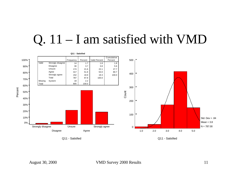### Q. 11 – I am satisfied with VMD

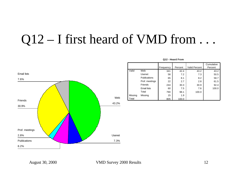## Q12 – I first heard of VMD from ...



|         |                     | Frequency | Percent | <b>Valid Percent</b> | Cumulative<br>Percent |
|---------|---------------------|-----------|---------|----------------------|-----------------------|
| Valid   | Web                 | 341       | 42.4    | 43.2                 | 43.2                  |
|         | Usenet              | 58        | 7.2     | 7.3                  | 50.5                  |
|         | <b>Publications</b> | 65        | 8.1     | 8.2                  | 58.7                  |
|         | Prof. meetings      | 22        | 2.7     | 2.8                  | 61.5                  |
|         | Friends             | 244       | 30.3    | 30.9                 | 92.4                  |
|         | <b>Email lists</b>  | 60        | 7.5     | 7.6                  | 100.0                 |
|         | Total               | 790       | 98.1    | 100.0                |                       |
| Missing | Missing             | 15        | 1.9     |                      |                       |
| Total   |                     | 805       | 100.0   |                      |                       |

**Q12 - Heard From**